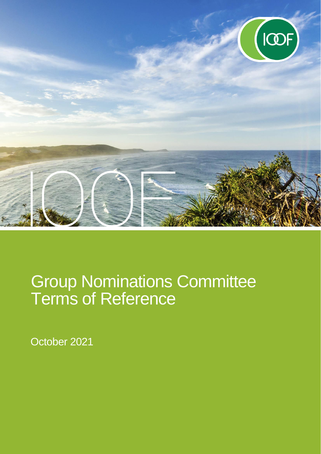

# Group Nominations Committee Terms of Reference

October 2021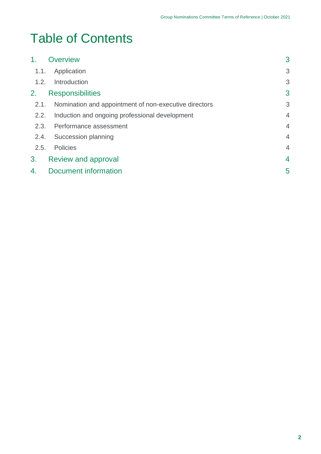## Table of Contents

| 1 <sub>1</sub> | <b>Overview</b>                                       | 3              |
|----------------|-------------------------------------------------------|----------------|
| 1.1.           | Application                                           | 3              |
| 1.2.           | Introduction                                          | 3              |
| 2.             | <b>Responsibilities</b>                               | 3              |
| 2.1.           | Nomination and appointment of non-executive directors | 3              |
| 2.2.           | Induction and ongoing professional development        | $\overline{4}$ |
| 2.3.           | Performance assessment                                | $\overline{4}$ |
| 2.4.           | Succession planning                                   | $\overline{4}$ |
| 2.5.           | Policies                                              | $\overline{4}$ |
| 3.             | Review and approval                                   | $\overline{4}$ |
| 4.             | <b>Document information</b>                           | 5              |
|                |                                                       |                |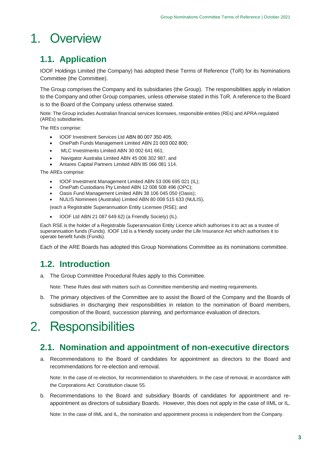## <span id="page-2-0"></span>1. Overview

### <span id="page-2-1"></span>**1.1. Application**

IOOF Holdings Limited (the Company) has adopted these Terms of Reference (ToR) for its Nominations Committee (the Committee).

The Group comprises the Company and its subsidiaries (the Group). The responsibilities apply in relation to the Company and other Group companies, unless otherwise stated in this ToR. A reference to the Board is to the Board of the Company unless otherwise stated.

Note: The Group includes Australian financial services licensees, responsible entities (REs) and APRA-regulated (AREs) subsidiaries.

The REs comprise:

- IOOF Investment Services Ltd ABN 80 007 350 405;
- OnePath Funds Management Limited ABN 21 003 002 800;
- MLC Investments Limited ABN 30 002 641 661;
- Navigator Australia Limited ABN 45 006 302 987, and
- Antares Capital Partners Limited ABN 85 066 081 114.

The AREs comprise:

- IOOF Investment Management Limited ABN 53 006 695 021 (IL);
- OnePath Custodians Pty Limited ABN 12 008 508 496 (OPC);
- Oasis Fund Management Limited ABN 38 106 045 050 (Oasis);
- NULIS Nominees (Australia) Limited ABN 80 008 515 633 (NULIS),

(each a Registrable Superannuation Entity Licensee (RSE); and

• IOOF Ltd ABN 21 087 649 62) (a Friendly Society) (IL).

Each RSE is the holder of a Registrable Superannuation Entity Licence which authorises it to act as a trustee of superannuation funds (Funds). IOOF Ltd is a friendly society under the Life Insurance Act which authorises it to operate benefit funds (Funds).

Each of the ARE Boards has adopted this Group Nominations Committee as its nominations committee.

#### <span id="page-2-2"></span>**1.2. Introduction**

a. The Group Committee Procedural Rules apply to this Committee.

Note: These Rules deal with matters such as Committee membership and meeting requirements.

b. The primary objectives of the Committee are to assist the Board of the Company and the Boards of subsidiaries in discharging their responsibilities in relation to the nomination of Board members, composition of the Board, succession planning, and performance evaluation of directors.

### <span id="page-2-3"></span>2. Responsibilities

#### <span id="page-2-4"></span>**2.1. Nomination and appointment of non-executive directors**

a. Recommendations to the Board of candidates for appointment as directors to the Board and recommendations for re-election and removal.

Note: In the case of re-election, for recommendation to shareholders. In the case of removal, in accordance with the Corporations Act: Constitution clause 55.

b. Recommendations to the Board and subsidiary Boards of candidates for appointment and reappointment as directors of subsidiary Boards. However, this does not apply in the case of IIML or IL.

Note: In the case of IIML and IL, the nomination and appointment process is independent from the Company.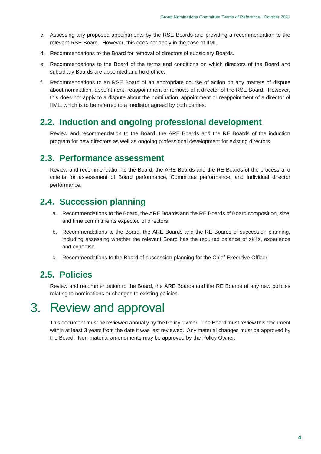- c. Assessing any proposed appointments by the RSE Boards and providing a recommendation to the relevant RSE Board. However, this does not apply in the case of IIML.
- d. Recommendations to the Board for removal of directors of subsidiary Boards.
- e. Recommendations to the Board of the terms and conditions on which directors of the Board and subsidiary Boards are appointed and hold office.
- f. Recommendations to an RSE Board of an appropriate course of action on any matters of dispute about nomination, appointment, reappointment or removal of a director of the RSE Board. However, this does not apply to a dispute about the nomination, appointment or reappointment of a director of IIML, which is to be referred to a mediator agreed by both parties.

#### <span id="page-3-0"></span>**2.2. Induction and ongoing professional development**

Review and recommendation to the Board, the ARE Boards and the RE Boards of the induction program for new directors as well as ongoing professional development for existing directors.

#### <span id="page-3-1"></span>**2.3. Performance assessment**

Review and recommendation to the Board, the ARE Boards and the RE Boards of the process and criteria for assessment of Board performance, Committee performance, and individual director performance.

#### <span id="page-3-2"></span>**2.4. Succession planning**

- a. Recommendations to the Board, the ARE Boards and the RE Boards of Board composition, size, and time commitments expected of directors.
- b. Recommendations to the Board, the ARE Boards and the RE Boards of succession planning, including assessing whether the relevant Board has the required balance of skills, experience and expertise.
- c. Recommendations to the Board of succession planning for the Chief Executive Officer.

#### <span id="page-3-3"></span>**2.5. Policies**

Review and recommendation to the Board, the ARE Boards and the RE Boards of any new policies relating to nominations or changes to existing policies.

### <span id="page-3-4"></span>3. Review and approval

This document must be reviewed annually by the Policy Owner. The Board must review this document within at least 3 years from the date it was last reviewed. Any material changes must be approved by the Board. Non-material amendments may be approved by the Policy Owner.